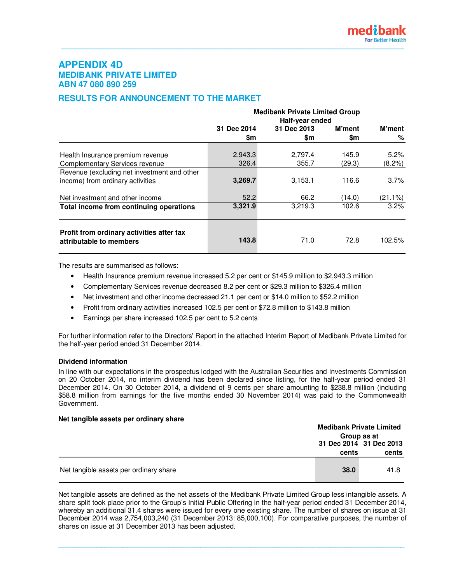# **APPENDIX 4D MEDIBANK PRIVATE LIMITED ABN 47 080 890 259**

# **RESULTS FOR ANNOUNCEMENT TO THE MARKET**

|                                                                                 | <b>Medibank Private Limited Group</b><br>Half-year ended |             |               |               |  |
|---------------------------------------------------------------------------------|----------------------------------------------------------|-------------|---------------|---------------|--|
|                                                                                 | 31 Dec 2014                                              | 31 Dec 2013 | <b>M'ment</b> | <b>M'ment</b> |  |
|                                                                                 | \$m                                                      | \$m         | \$m           | %             |  |
| Health Insurance premium revenue                                                | 2,943.3                                                  | 2,797.4     | 145.9         | 5.2%          |  |
| <b>Complementary Services revenue</b>                                           | 326.4                                                    | 355.7       | (29.3)        | (8.2%)        |  |
| Revenue (excluding net investment and other<br>income) from ordinary activities | 3,269.7                                                  | 3,153.1     | 116.6         | 3.7%          |  |
| Net investment and other income                                                 | 52.2                                                     | 66.2        | (14.0)        | (21.1%)       |  |
| Total income from continuing operations                                         | 3,321.9                                                  | 3,219.3     | 102.6         | 3.2%          |  |
| Profit from ordinary activities after tax<br>attributable to members            | 143.8                                                    | 71.0        | 72.8          | 102.5%        |  |

The results are summarised as follows:

- Health Insurance premium revenue increased 5.2 per cent or \$145.9 million to \$2,943.3 million
- Complementary Services revenue decreased 8.2 per cent or \$29.3 million to \$326.4 million
- Net investment and other income decreased 21.1 per cent or \$14.0 million to \$52.2 million
- Profit from ordinary activities increased 102.5 per cent or \$72.8 million to \$143.8 million
- Earnings per share increased 102.5 per cent to 5.2 cents

For further information refer to the Directors' Report in the attached Interim Report of Medibank Private Limited for the half-year period ended 31 December 2014.

# **Dividend information**

In line with our expectations in the prospectus lodged with the Australian Securities and Investments Commission on 20 October 2014, no interim dividend has been declared since listing, for the half-year period ended 31 December 2014. On 30 October 2014, a dividend of 9 cents per share amounting to \$238.8 million (including \$58.8 million from earnings for the five months ended 30 November 2014) was paid to the Commonwealth Government.

# **Net tangible assets per ordinary share**

|                                        | <b>Medibank Private Limited</b><br>Group as at |       |
|----------------------------------------|------------------------------------------------|-------|
|                                        | 31 Dec 2014 31 Dec 2013                        |       |
|                                        | cents                                          | cents |
| Net tangible assets per ordinary share | 38.0                                           | 41.8  |

Net tangible assets are defined as the net assets of the Medibank Private Limited Group less intangible assets. A share split took place prior to the Group's Initial Public Offering in the half-year period ended 31 December 2014, whereby an additional 31.4 shares were issued for every one existing share. The number of shares on issue at 31 December 2014 was 2,754,003,240 (31 December 2013: 85,000,100). For comparative purposes, the number of shares on issue at 31 December 2013 has been adjusted.

**\_\_\_\_\_\_\_\_\_\_\_\_\_\_\_\_\_\_\_\_\_\_\_\_\_\_\_\_\_\_\_\_\_\_\_\_\_\_\_\_\_\_\_\_\_\_\_\_\_\_\_\_\_\_\_\_\_\_\_\_\_\_\_\_\_\_\_\_\_\_\_\_\_\_\_\_\_\_\_\_\_\_\_\_\_\_\_\_\_\_**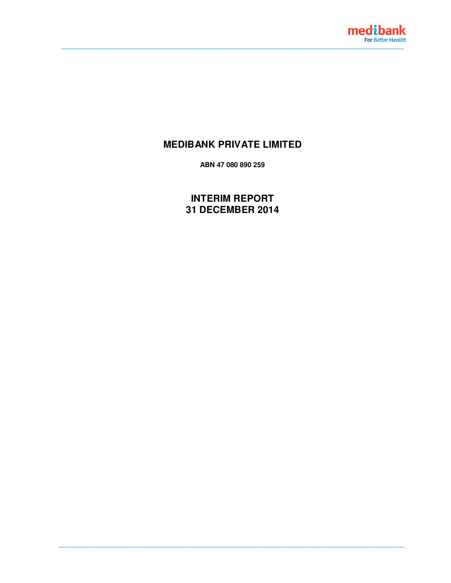

# **MEDIBANK PRIVATE LIMITED**

ABN 47 080 890 259

**INTERIM REPORT** 31 DECEMBER 2014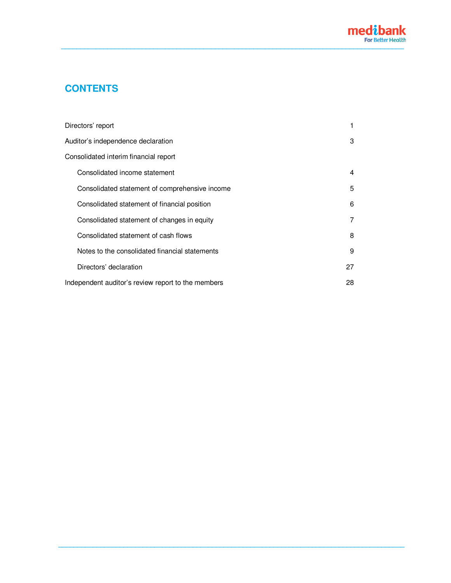

# **CONTENTS**

| Directors' report                                  | 1  |
|----------------------------------------------------|----|
| Auditor's independence declaration                 | 3  |
| Consolidated interim financial report              |    |
| Consolidated income statement                      | 4  |
| Consolidated statement of comprehensive income     | 5  |
| Consolidated statement of financial position       | 6  |
| Consolidated statement of changes in equity        | 7  |
| Consolidated statement of cash flows               | 8  |
| Notes to the consolidated financial statements     | 9  |
| Directors' declaration                             | 27 |
| Independent auditor's review report to the members | 28 |

**\_\_\_\_\_\_\_\_\_\_\_\_\_\_\_\_\_\_\_\_\_\_\_\_\_\_\_\_\_\_\_\_\_\_\_\_\_\_\_\_\_\_\_\_\_\_\_\_\_\_\_\_\_\_\_\_\_\_\_\_\_\_\_\_\_\_\_\_\_\_\_\_\_\_\_\_\_\_\_\_\_\_\_\_\_\_\_\_\_\_**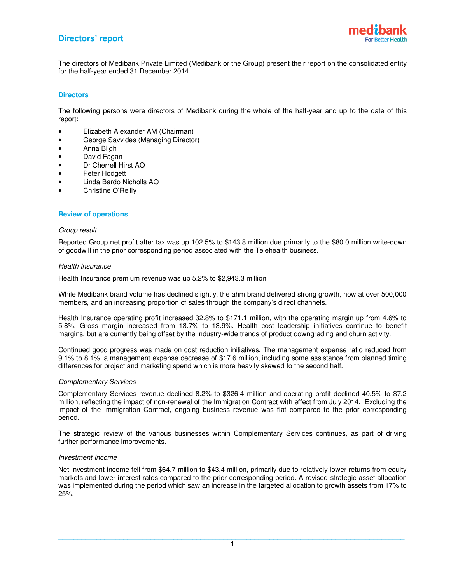# **Directors' report**



The directors of Medibank Private Limited (Medibank or the Group) present their report on the consolidated entity for the half-year ended 31 December 2014.

# **Directors**

The following persons were directors of Medibank during the whole of the half-year and up to the date of this report:

- Elizabeth Alexander AM (Chairman)
- George Savvides (Managing Director)
- Anna Bligh
- David Fagan
- Dr Cherrell Hirst AO
- Peter Hodgett
- Linda Bardo Nicholls AO
- Christine O'Reilly

# **Review of operations**

#### Group result

Reported Group net profit after tax was up 102.5% to \$143.8 million due primarily to the \$80.0 million write-down of goodwill in the prior corresponding period associated with the Telehealth business.

#### Health Insurance

Health Insurance premium revenue was up 5.2% to \$2,943.3 million.

While Medibank brand volume has declined slightly, the ahm brand delivered strong growth, now at over 500,000 members, and an increasing proportion of sales through the company's direct channels.

Health Insurance operating profit increased 32.8% to \$171.1 million, with the operating margin up from 4.6% to 5.8%. Gross margin increased from 13.7% to 13.9%. Health cost leadership initiatives continue to benefit margins, but are currently being offset by the industry-wide trends of product downgrading and churn activity.

Continued good progress was made on cost reduction initiatives. The management expense ratio reduced from 9.1% to 8.1%, a management expense decrease of \$17.6 million, including some assistance from planned timing differences for project and marketing spend which is more heavily skewed to the second half.

# Complementary Services

Complementary Services revenue declined 8.2% to \$326.4 million and operating profit declined 40.5% to \$7.2 million, reflecting the impact of non-renewal of the Immigration Contract with effect from July 2014. Excluding the impact of the Immigration Contract, ongoing business revenue was flat compared to the prior corresponding period.

The strategic review of the various businesses within Complementary Services continues, as part of driving further performance improvements.

# Investment Income

Net investment income fell from \$64.7 million to \$43.4 million, primarily due to relatively lower returns from equity markets and lower interest rates compared to the prior corresponding period. A revised strategic asset allocation was implemented during the period which saw an increase in the targeted allocation to growth assets from 17% to 25%.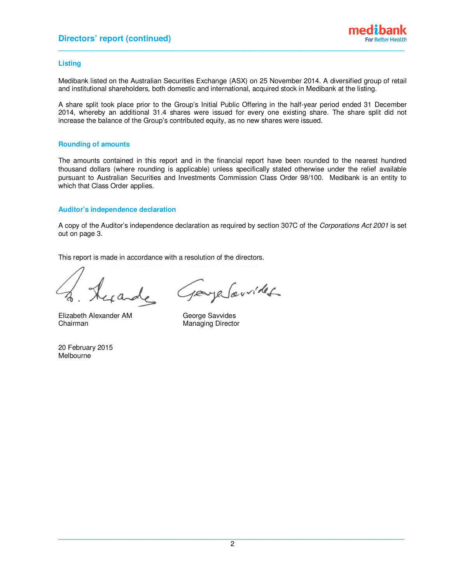# **Directors' report (continued)**

# **Listing**

Medibank listed on the Australian Securities Exchange (ASX) on 25 November 2014. A diversified group of retail and institutional shareholders, both domestic and international, acquired stock in Medibank at the listing.

**\_\_\_\_\_\_\_\_\_\_\_\_\_\_\_\_\_\_\_\_\_\_\_\_\_\_\_\_\_\_\_\_\_\_\_\_\_\_\_\_\_\_\_\_\_\_\_\_\_\_\_\_\_\_\_\_\_\_\_\_\_\_\_\_\_\_\_\_\_\_\_\_\_\_\_\_\_\_\_\_\_\_\_\_\_\_\_\_\_\_**

A share split took place prior to the Group's Initial Public Offering in the half-year period ended 31 December 2014, whereby an additional 31.4 shares were issued for every one existing share. The share split did not increase the balance of the Group's contributed equity, as no new shares were issued.

# **Rounding of amounts**

The amounts contained in this report and in the financial report have been rounded to the nearest hundred thousand dollars (where rounding is applicable) unless specifically stated otherwise under the relief available pursuant to Australian Securities and Investments Commission Class Order 98/100. Medibank is an entity to which that Class Order applies.

# **Auditor's independence declaration**

A copy of the Auditor's independence declaration as required by section 307C of the Corporations Act 2001 is set out on page 3.

This report is made in accordance with a resolution of the directors.

Elizabeth Alexander AM George Savvides

paye Souvides

Managing Director

20 February 2015 Melbourne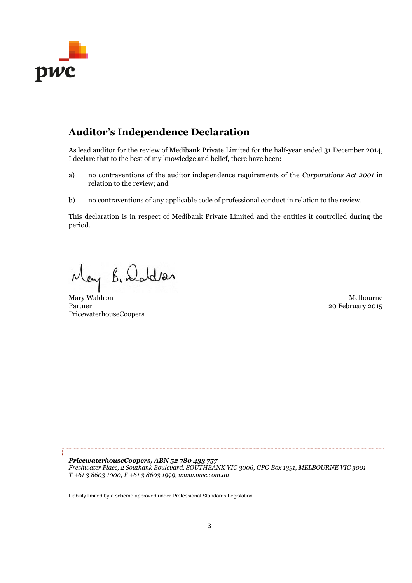

# **Auditor's Independence Declaration**

As lead auditor for the review of Medibank Private Limited for the half-year ended 31 December 2014, I declare that to the best of my knowledge and belief, there have been:

- a) no contraventions of the auditor independence requirements of the *Corporations Act 2001* in relation to the review; and
- b) no contraventions of any applicable code of professional conduct in relation to the review*.*

This declaration is in respect of Medibank Private Limited and the entities it controlled during the period.

May B. Daldren

Mary Waldron Melbourne Partner 2015 PricewaterhouseCoopers

*PricewaterhouseCoopers, ABN 52 780 433 757 Freshwater Place, 2 Southank Boulevard, SOUTHBANK VIC 3006, GPO Box 1331, MELBOURNE VIC 3001 T +61 3 8603 1000, F +61 3 8603 1999, www.pwc.com.au*

Liability limited by a scheme approved under Professional Standards Legislation.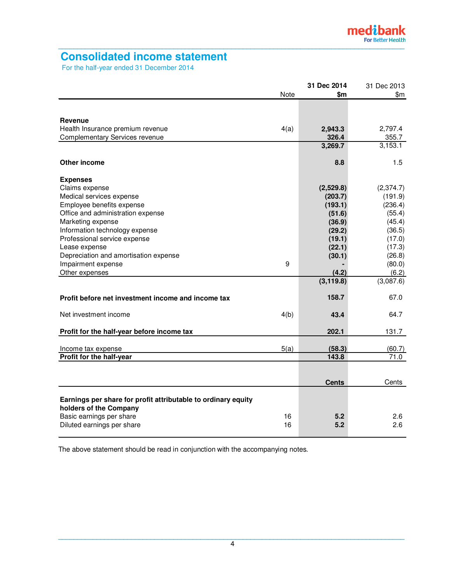# **Consolidated income statement**

For the half-year ended 31 December 2014

|                                                               | 31 Dec 2014  | 31 Dec 2013 |
|---------------------------------------------------------------|--------------|-------------|
| Note                                                          | \$m          | \$m         |
|                                                               |              |             |
|                                                               |              |             |
| Revenue                                                       |              |             |
| Health Insurance premium revenue<br>4(a)                      | 2,943.3      | 2,797.4     |
| <b>Complementary Services revenue</b>                         | 326.4        | 355.7       |
|                                                               | 3,269.7      | 3,153.1     |
|                                                               |              |             |
| Other income                                                  | 8.8          | 1.5         |
| <b>Expenses</b>                                               |              |             |
| Claims expense                                                | (2,529.8)    | (2, 374.7)  |
| Medical services expense                                      | (203.7)      | (191.9)     |
| Employee benefits expense                                     | (193.1)      | (236.4)     |
| Office and administration expense                             | (51.6)       | (55.4)      |
| Marketing expense                                             | (36.9)       | (45.4)      |
| Information technology expense                                | (29.2)       | (36.5)      |
| Professional service expense                                  | (19.1)       | (17.0)      |
| Lease expense                                                 | (22.1)       | (17.3)      |
| Depreciation and amortisation expense                         | (30.1)       | (26.8)      |
| 9<br>Impairment expense                                       |              | (80.0)      |
| Other expenses                                                | (4.2)        | (6.2)       |
|                                                               | (3, 119.8)   | (3,087.6)   |
|                                                               |              |             |
| Profit before net investment income and income tax            | 158.7        | 67.0        |
| Net investment income<br>4(b)                                 | 43.4         | 64.7        |
|                                                               |              |             |
| Profit for the half-year before income tax                    | 202.1        | 131.7       |
| 5(a)<br>Income tax expense                                    | (58.3)       | (60.7)      |
| Profit for the half-year                                      | 143.8        | 71.0        |
|                                                               |              |             |
|                                                               |              |             |
|                                                               | <b>Cents</b> | Cents       |
|                                                               |              |             |
| Earnings per share for profit attributable to ordinary equity |              |             |
| holders of the Company                                        |              |             |
| Basic earnings per share<br>16                                | 5.2          | 2.6         |
| 16<br>Diluted earnings per share                              | 5.2          | 2.6         |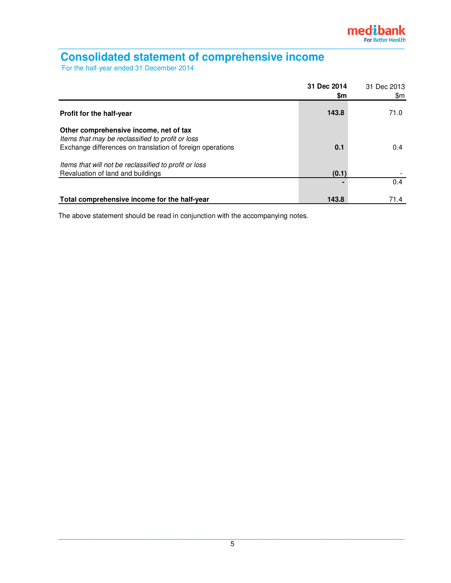# **Consolidated statement of comprehensive income**

For the half-year ended 31 December 2014

|                                                                                                                                                         | 31 Dec 2014<br>\$m | 31 Dec 2013<br>\$m |
|---------------------------------------------------------------------------------------------------------------------------------------------------------|--------------------|--------------------|
| <b>Profit for the half-year</b>                                                                                                                         | 143.8              | 71.0               |
| Other comprehensive income, net of tax<br>Items that may be reclassified to profit or loss<br>Exchange differences on translation of foreign operations | 0.1                | 0.4                |
| Items that will not be reclassified to profit or loss<br>Revaluation of land and buildings                                                              | (0.1)              |                    |
|                                                                                                                                                         |                    | 0.4                |
| Total comprehensive income for the half-year                                                                                                            | 143.8              | 71.4               |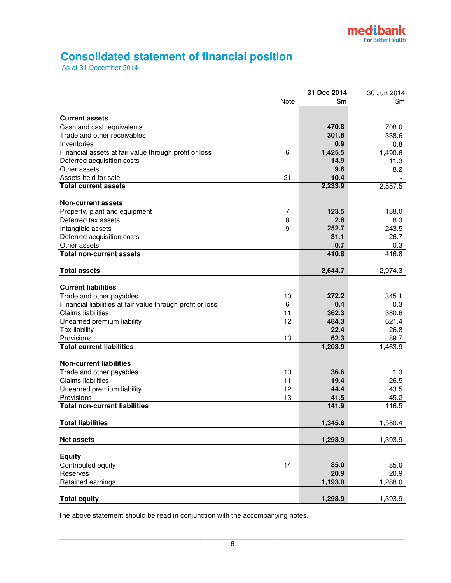# **Consolidated statement of financial position**

As at 31 December 2014

|                                                                                         |      | 31 Dec 2014 | 30 Jun 2014          |
|-----------------------------------------------------------------------------------------|------|-------------|----------------------|
|                                                                                         | Note | \$m         | \$m                  |
|                                                                                         |      |             |                      |
| <b>Current assets</b>                                                                   |      |             |                      |
| Cash and cash equivalents                                                               |      | 470.8       | 708.0                |
| Trade and other receivables                                                             |      | 301.8       | 338.6                |
| Inventories                                                                             |      | 0.9         | 0.8                  |
| Financial assets at fair value through profit or loss                                   | 6    | 1,425.5     | 1,490.6              |
| Deferred acquisition costs                                                              |      | 14.9        | 11.3                 |
| Other assets                                                                            |      | 9.6         | 8.2                  |
| Assets held for sale                                                                    | 21   | 10.4        |                      |
| <b>Total current assets</b>                                                             |      | 2,233.9     | 2,557.5              |
| <b>Non-current assets</b>                                                               |      |             |                      |
| Property, plant and equipment                                                           | 7    | 123.5       | 138.0                |
| Deferred tax assets                                                                     | 8    | 2.8         | 8.3                  |
| Intangible assets                                                                       | 9    | 252.7       | 243.5                |
| Deferred acquisition costs                                                              |      | 31.1        | 26.7                 |
| Other assets                                                                            |      | 0.7         | 0.3                  |
| <b>Total non-current assets</b>                                                         |      | 410.8       | 416.8                |
|                                                                                         |      |             |                      |
| <b>Total assets</b>                                                                     |      | 2,644.7     | 2,974.3              |
| <b>Current liabilities</b>                                                              |      |             |                      |
| Trade and other payables                                                                | 10   | 272.2       | 345.1                |
|                                                                                         | 6    | 0.4         | 0.3                  |
| Financial liabilities at fair value through profit or loss<br><b>Claims liabilities</b> | 11   | 362.3       | 380.6                |
| Unearned premium liability                                                              | 12   | 484.3       | 621.4                |
| Tax liability                                                                           |      | 22.4        | 26.8                 |
| Provisions                                                                              | 13   | 62.3        | 89.7                 |
| <b>Total current liabilities</b>                                                        |      | 1,203.9     | $1,463.\overline{9}$ |
|                                                                                         |      |             |                      |
| <b>Non-current liabilities</b>                                                          |      |             |                      |
| Trade and other payables                                                                | 10   | 36.6        | 1.3                  |
| <b>Claims liabilities</b>                                                               | 11   | 19.4        | 26.5                 |
| Unearned premium liability                                                              | 12   | 44.4        | 43.5                 |
| Provisions                                                                              | 13   | 41.5        | 45.2                 |
| <b>Total non-current liabilities</b>                                                    |      | 141.9       | 116.5                |
| <b>Total liabilities</b>                                                                |      | 1,345.8     | 1,580.4              |
|                                                                                         |      |             |                      |
| <b>Net assets</b>                                                                       |      | 1,298.9     | 1,393.9              |
| <b>Equity</b>                                                                           |      |             |                      |
| Contributed equity                                                                      | 14   | 85.0        | 85.0                 |
| Reserves                                                                                |      | 20.9        | 20.9                 |
| Retained earnings                                                                       |      | 1,193.0     | 1,288.0              |
|                                                                                         |      |             |                      |
| <b>Total equity</b>                                                                     |      | 1,298.9     | 1,393.9              |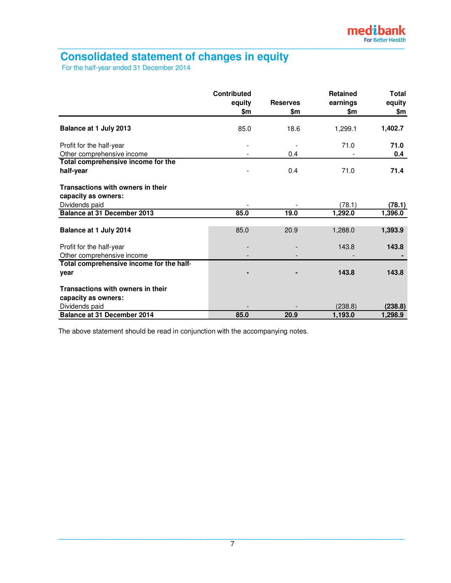# **Consolidated statement of changes in equity**

For the half-year ended 31 December 2014

|                                          | <b>Contributed</b> |                 | <b>Retained</b> | <b>Total</b> |
|------------------------------------------|--------------------|-----------------|-----------------|--------------|
|                                          | equity             | <b>Reserves</b> | earnings        | equity       |
|                                          | \$m                | \$m             | \$m             | \$m          |
| Balance at 1 July 2013                   | 85.0               | 18.6            | 1,299.1         | 1,402.7      |
| Profit for the half-year                 |                    |                 | 71.0            | 71.0         |
| Other comprehensive income               |                    | 0.4             |                 | 0.4          |
| Total comprehensive income for the       |                    |                 |                 |              |
| half-year                                |                    | 0.4             | 71.0            | 71.4         |
| <b>Transactions with owners in their</b> |                    |                 |                 |              |
| capacity as owners:                      |                    |                 |                 |              |
| Dividends paid                           |                    |                 | (78.1)          | (78.1)       |
| Balance at 31 December 2013              | 85.0               | 19.0            | 1,292.0         | 1,396.0      |
| Balance at 1 July 2014                   | 85.0               | 20.9            | 1,288.0         | 1,393.9      |
|                                          |                    |                 |                 |              |
| Profit for the half-year                 |                    |                 | 143.8           | 143.8        |
| Other comprehensive income               |                    |                 |                 |              |
| Total comprehensive income for the half- |                    |                 |                 |              |
| year                                     | $\blacksquare$     |                 | 143.8           | 143.8        |
| Transactions with owners in their        |                    |                 |                 |              |
| capacity as owners:                      |                    |                 |                 |              |
| Dividends paid                           |                    |                 | (238.8)         | (238.8)      |
| <b>Balance at 31 December 2014</b>       | 85.0               | 20.9            | 1,193.0         | 1,298.9      |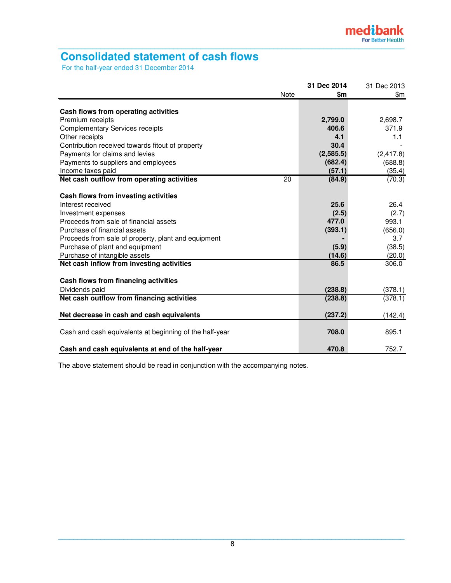# **Consolidated statement of cash flows**

For the half-year ended 31 December 2014

|                                                                 |      | 31 Dec 2014      | 31 Dec 2013      |
|-----------------------------------------------------------------|------|------------------|------------------|
|                                                                 | Note | \$m              | \$m              |
|                                                                 |      |                  |                  |
| Cash flows from operating activities                            |      |                  |                  |
| Premium receipts                                                |      | 2,799.0<br>406.6 | 2,698.7          |
| <b>Complementary Services receipts</b>                          |      | 4.1              | 371.9<br>1.1     |
| Other receipts                                                  |      | 30.4             |                  |
| Contribution received towards fitout of property                |      |                  |                  |
| Payments for claims and levies                                  |      | (2,585.5)        | (2, 417.8)       |
| Payments to suppliers and employees                             |      | (682.4)          | (688.8)          |
| Income taxes paid<br>Net cash outflow from operating activities | 20   | (57.1)<br>(84.9) | (35.4)<br>(70.3) |
|                                                                 |      |                  |                  |
| Cash flows from investing activities                            |      |                  |                  |
| Interest received                                               |      | 25.6             | 26.4             |
| Investment expenses                                             |      | (2.5)            | (2.7)            |
| Proceeds from sale of financial assets                          |      | 477.0            | 993.1            |
| Purchase of financial assets                                    |      | (393.1)          | (656.0)          |
| Proceeds from sale of property, plant and equipment             |      |                  | 3.7              |
| Purchase of plant and equipment                                 |      | (5.9)            | (38.5)           |
| Purchase of intangible assets                                   |      | (14.6)           | (20.0)           |
| Net cash inflow from investing activities                       |      | 86.5             | 306.0            |
|                                                                 |      |                  |                  |
| Cash flows from financing activities                            |      |                  |                  |
| Dividends paid                                                  |      | (238.8)          | (378.1)          |
| Net cash outflow from financing activities                      |      | (238.8)          | (378.1)          |
| Net decrease in cash and cash equivalents                       |      | (237.2)          | (142.4)          |
| Cash and cash equivalents at beginning of the half-year         |      | 708.0            | 895.1            |
|                                                                 |      |                  |                  |
| Cash and cash equivalents at end of the half-year               |      | 470.8            | 752.7            |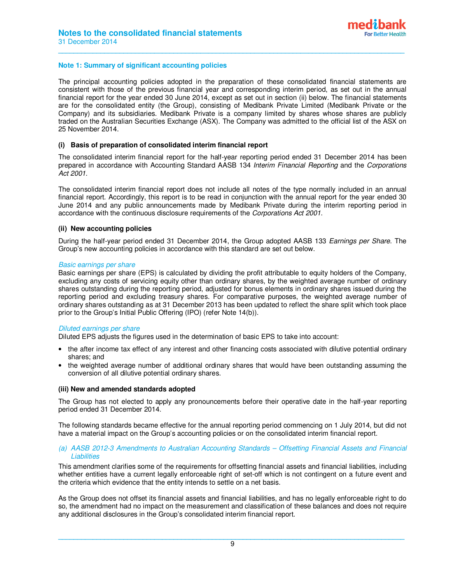

# **Note 1: Summary of significant accounting policies**

The principal accounting policies adopted in the preparation of these consolidated financial statements are consistent with those of the previous financial year and corresponding interim period, as set out in the annual financial report for the year ended 30 June 2014, except as set out in section (ii) below. The financial statements are for the consolidated entity (the Group), consisting of Medibank Private Limited (Medibank Private or the Company) and its subsidiaries. Medibank Private is a company limited by shares whose shares are publicly traded on the Australian Securities Exchange (ASX). The Company was admitted to the official list of the ASX on 25 November 2014.

**\_\_\_\_\_\_\_\_\_\_\_\_\_\_\_\_\_\_\_\_\_\_\_\_\_\_\_\_\_\_\_\_\_\_\_\_\_\_\_\_\_\_\_\_\_\_\_\_\_\_\_\_\_\_\_\_\_\_\_\_\_\_\_\_\_\_\_\_\_\_\_\_\_\_\_\_\_\_\_\_\_\_\_\_\_\_\_\_\_\_** 

#### **(i) Basis of preparation of consolidated interim financial report**

The consolidated interim financial report for the half-year reporting period ended 31 December 2014 has been prepared in accordance with Accounting Standard AASB 134 Interim Financial Reporting and the Corporations Act 2001.

The consolidated interim financial report does not include all notes of the type normally included in an annual financial report. Accordingly, this report is to be read in conjunction with the annual report for the year ended 30 June 2014 and any public announcements made by Medibank Private during the interim reporting period in accordance with the continuous disclosure requirements of the Corporations Act 2001.

#### **(ii) New accounting policies**

During the half-year period ended 31 December 2014, the Group adopted AASB 133 Earnings per Share. The Group's new accounting policies in accordance with this standard are set out below.

#### Basic earnings per share

Basic earnings per share (EPS) is calculated by dividing the profit attributable to equity holders of the Company, excluding any costs of servicing equity other than ordinary shares, by the weighted average number of ordinary shares outstanding during the reporting period, adjusted for bonus elements in ordinary shares issued during the reporting period and excluding treasury shares. For comparative purposes, the weighted average number of ordinary shares outstanding as at 31 December 2013 has been updated to reflect the share split which took place prior to the Group's Initial Public Offering (IPO) (refer Note 14(b)).

#### Diluted earnings per share

Diluted EPS adjusts the figures used in the determination of basic EPS to take into account:

- the after income tax effect of any interest and other financing costs associated with dilutive potential ordinary shares; and
- the weighted average number of additional ordinary shares that would have been outstanding assuming the conversion of all dilutive potential ordinary shares.

#### **(iii) New and amended standards adopted**

The Group has not elected to apply any pronouncements before their operative date in the half-year reporting period ended 31 December 2014.

The following standards became effective for the annual reporting period commencing on 1 July 2014, but did not have a material impact on the Group's accounting policies or on the consolidated interim financial report.

#### (a) AASB 2012-3 Amendments to Australian Accounting Standards – Offsetting Financial Assets and Financial **Liabilities**

This amendment clarifies some of the requirements for offsetting financial assets and financial liabilities, including whether entities have a current legally enforceable right of set-off which is not contingent on a future event and the criteria which evidence that the entity intends to settle on a net basis.

As the Group does not offset its financial assets and financial liabilities, and has no legally enforceable right to do so, the amendment had no impact on the measurement and classification of these balances and does not require any additional disclosures in the Group's consolidated interim financial report.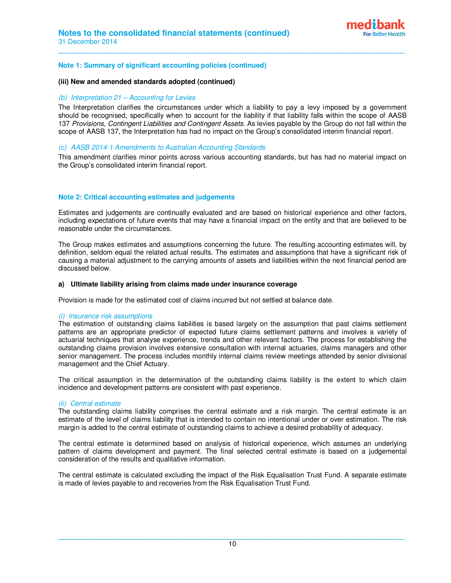

# **Note 1: Summary of significant accounting policies (continued)**

#### **(iii) New and amended standards adopted (continued)**

# (b) Interpretation 21 – Accounting for Levies

The Interpretation clarifies the circumstances under which a liability to pay a levy imposed by a government should be recognised, specifically when to account for the liability if that liability falls within the scope of AASB 137 Provisions, Contingent Liabilities and Contingent Assets. As levies payable by the Group do not fall within the scope of AASB 137, the Interpretation has had no impact on the Group's consolidated interim financial report.

**\_\_\_\_\_\_\_\_\_\_\_\_\_\_\_\_\_\_\_\_\_\_\_\_\_\_\_\_\_\_\_\_\_\_\_\_\_\_\_\_\_\_\_\_\_\_\_\_\_\_\_\_\_\_\_\_\_\_\_\_\_\_\_\_\_\_\_\_\_\_\_\_\_\_\_\_\_\_\_\_\_\_\_\_\_\_\_\_\_\_** 

#### (c) AASB 2014-1 Amendments to Australian Accounting Standards

This amendment clarifies minor points across various accounting standards, but has had no material impact on the Group's consolidated interim financial report.

# **Note 2: Critical accounting estimates and judgements**

Estimates and judgements are continually evaluated and are based on historical experience and other factors, including expectations of future events that may have a financial impact on the entity and that are believed to be reasonable under the circumstances.

The Group makes estimates and assumptions concerning the future. The resulting accounting estimates will, by definition, seldom equal the related actual results. The estimates and assumptions that have a significant risk of causing a material adjustment to the carrying amounts of assets and liabilities within the next financial period are discussed below.

# **a) Ultimate liability arising from claims made under insurance coverage**

Provision is made for the estimated cost of claims incurred but not settled at balance date.

# (i) Insurance risk assumptions

The estimation of outstanding claims liabilities is based largely on the assumption that past claims settlement patterns are an appropriate predictor of expected future claims settlement patterns and involves a variety of actuarial techniques that analyse experience, trends and other relevant factors. The process for establishing the outstanding claims provision involves extensive consultation with internal actuaries, claims managers and other senior management. The process includes monthly internal claims review meetings attended by senior divisional management and the Chief Actuary.

The critical assumption in the determination of the outstanding claims liability is the extent to which claim incidence and development patterns are consistent with past experience.

# (ii) Central estimate

The outstanding claims liability comprises the central estimate and a risk margin. The central estimate is an estimate of the level of claims liability that is intended to contain no intentional under or over estimation. The risk margin is added to the central estimate of outstanding claims to achieve a desired probability of adequacy.

The central estimate is determined based on analysis of historical experience, which assumes an underlying pattern of claims development and payment. The final selected central estimate is based on a judgemental consideration of the results and qualitative information.

The central estimate is calculated excluding the impact of the Risk Equalisation Trust Fund. A separate estimate is made of levies payable to and recoveries from the Risk Equalisation Trust Fund.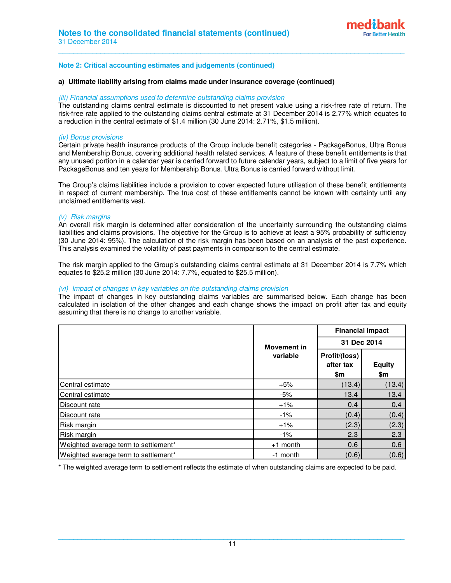

# **Note 2: Critical accounting estimates and judgements (continued)**

#### **a) Ultimate liability arising from claims made under insurance coverage (continued)**

#### (iii) Financial assumptions used to determine outstanding claims provision

The outstanding claims central estimate is discounted to net present value using a risk-free rate of return. The risk-free rate applied to the outstanding claims central estimate at 31 December 2014 is 2.77% which equates to a reduction in the central estimate of \$1.4 million (30 June 2014: 2.71%, \$1.5 million).

**\_\_\_\_\_\_\_\_\_\_\_\_\_\_\_\_\_\_\_\_\_\_\_\_\_\_\_\_\_\_\_\_\_\_\_\_\_\_\_\_\_\_\_\_\_\_\_\_\_\_\_\_\_\_\_\_\_\_\_\_\_\_\_\_\_\_\_\_\_\_\_\_\_\_\_\_\_\_\_\_\_\_\_\_\_\_\_\_\_\_** 

#### (iv) Bonus provisions

Certain private health insurance products of the Group include benefit categories - PackageBonus, Ultra Bonus and Membership Bonus, covering additional health related services. A feature of these benefit entitlements is that any unused portion in a calendar year is carried forward to future calendar years, subject to a limit of five years for PackageBonus and ten years for Membership Bonus. Ultra Bonus is carried forward without limit.

The Group's claims liabilities include a provision to cover expected future utilisation of these benefit entitlements in respect of current membership. The true cost of these entitlements cannot be known with certainty until any unclaimed entitlements vest.

#### (v) Risk margins

An overall risk margin is determined after consideration of the uncertainty surrounding the outstanding claims liabilities and claims provisions. The objective for the Group is to achieve at least a 95% probability of sufficiency (30 June 2014: 95%). The calculation of the risk margin has been based on an analysis of the past experience. This analysis examined the volatility of past payments in comparison to the central estimate.

The risk margin applied to the Group's outstanding claims central estimate at 31 December 2014 is 7.7% which equates to \$25.2 million (30 June 2014: 7.7%, equated to \$25.5 million).

# (vi) Impact of changes in key variables on the outstanding claims provision

The impact of changes in key outstanding claims variables are summarised below. Each change has been calculated in isolation of the other changes and each change shows the impact on profit after tax and equity assuming that there is no change to another variable.

|                                      |                    | <b>Financial Impact</b>           |                      |  |  |
|--------------------------------------|--------------------|-----------------------------------|----------------------|--|--|
|                                      | <b>Movement in</b> | 31 Dec 2014                       |                      |  |  |
|                                      | variable           | Profit/(loss)<br>after tax<br>\$m | <b>Equity</b><br>\$m |  |  |
| Central estimate                     | $+5%$              | (13.4)                            | (13.4)               |  |  |
| Central estimate                     | $-5%$              | 13.4                              | 13.4                 |  |  |
| Discount rate                        | $+1%$              | 0.4                               | 0.4                  |  |  |
| Discount rate                        | $-1%$              | (0.4)                             | (0.4)                |  |  |
| Risk margin                          | $+1%$              | (2.3)                             | (2.3)                |  |  |
| Risk margin                          | $-1%$              | 2.3                               | 2.3                  |  |  |
| Weighted average term to settlement* | $+1$ month         | 0.6                               | 0.6                  |  |  |
| Weighted average term to settlement* | -1 month           | (0.6)                             | (0.6)                |  |  |

\* The weighted average term to settlement reflects the estimate of when outstanding claims are expected to be paid.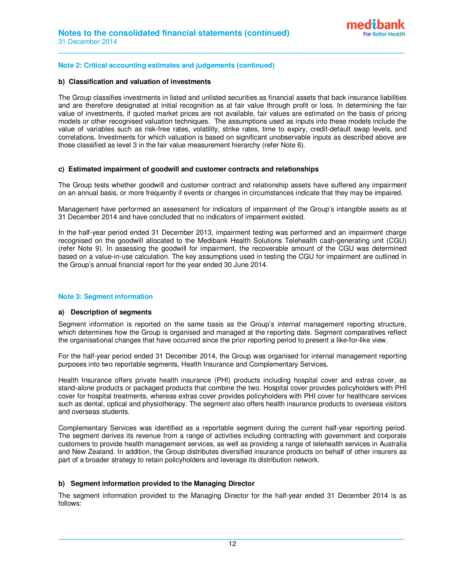# **Note 2: Critical accounting estimates and judgements (continued)**

#### **b) Classification and valuation of investments**

The Group classifies investments in listed and unlisted securities as financial assets that back insurance liabilities and are therefore designated at initial recognition as at fair value through profit or loss. In determining the fair value of investments, if quoted market prices are not available, fair values are estimated on the basis of pricing models or other recognised valuation techniques. The assumptions used as inputs into these models include the value of variables such as risk-free rates, volatility, strike rates, time to expiry, credit-default swap levels, and correlations. Investments for which valuation is based on significant unobservable inputs as described above are those classified as level 3 in the fair value measurement hierarchy (refer Note 6).

**\_\_\_\_\_\_\_\_\_\_\_\_\_\_\_\_\_\_\_\_\_\_\_\_\_\_\_\_\_\_\_\_\_\_\_\_\_\_\_\_\_\_\_\_\_\_\_\_\_\_\_\_\_\_\_\_\_\_\_\_\_\_\_\_\_\_\_\_\_\_\_\_\_\_\_\_\_\_\_\_\_\_\_\_\_\_\_\_\_\_** 

# **c) Estimated impairment of goodwill and customer contracts and relationships**

The Group tests whether goodwill and customer contract and relationship assets have suffered any impairment on an annual basis, or more frequently if events or changes in circumstances indicate that they may be impaired.

Management have performed an assessment for indicators of impairment of the Group's intangible assets as at 31 December 2014 and have concluded that no indicators of impairment existed.

In the half-year period ended 31 December 2013, impairment testing was performed and an impairment charge recognised on the goodwill allocated to the Medibank Health Solutions Telehealth cash-generating unit (CGU) (refer Note 9). In assessing the goodwill for impairment, the recoverable amount of the CGU was determined based on a value-in-use calculation. The key assumptions used in testing the CGU for impairment are outlined in the Group's annual financial report for the year ended 30 June 2014.

# **Note 3: Segment information**

# **a) Description of segments**

Segment information is reported on the same basis as the Group's internal management reporting structure, which determines how the Group is organised and managed at the reporting date. Segment comparatives reflect the organisational changes that have occurred since the prior reporting period to present a like-for-like view.

For the half-year period ended 31 December 2014, the Group was organised for internal management reporting purposes into two reportable segments, Health Insurance and Complementary Services.

Health Insurance offers private health insurance (PHI) products including hospital cover and extras cover, as stand-alone products or packaged products that combine the two. Hospital cover provides policyholders with PHI cover for hospital treatments, whereas extras cover provides policyholders with PHI cover for healthcare services such as dental, optical and physiotherapy. The segment also offers health insurance products to overseas visitors and overseas students.

Complementary Services was identified as a reportable segment during the current half-year reporting period. The segment derives its revenue from a range of activities including contracting with government and corporate customers to provide health management services, as well as providing a range of telehealth services in Australia and New Zealand. In addition, the Group distributes diversified insurance products on behalf of other insurers as part of a broader strategy to retain policyholders and leverage its distribution network.

# **b) Segment information provided to the Managing Director**

The segment information provided to the Managing Director for the half-year ended 31 December 2014 is as follows: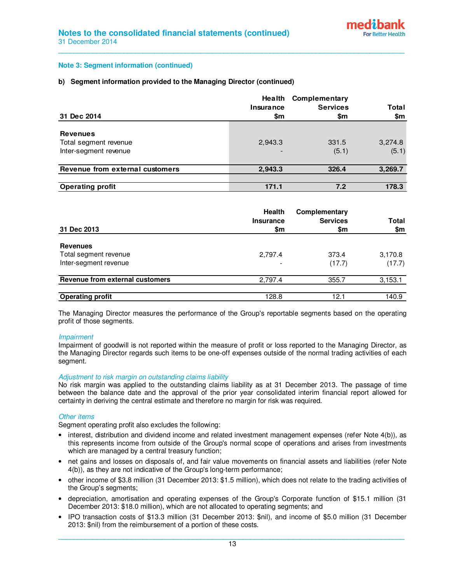# **Note 3: Segment information (continued)**

# **b) Segment information provided to the Managing Director (continued)**

|                                 | Health<br><b>Insurance</b> | Complementary<br><b>Services</b> | Total   |
|---------------------------------|----------------------------|----------------------------------|---------|
| 31 Dec 2014                     | \$m                        | \$m                              | \$m     |
| <b>Revenues</b>                 |                            |                                  |         |
| Total segment revenue           | 2,943.3                    | 331.5                            | 3,274.8 |
| Inter-segment revenue           |                            | (5.1)                            | (5.1)   |
| Revenue from external customers | 2,943.3                    | 326.4                            | 3,269.7 |
|                                 |                            |                                  |         |
| <b>Operating profit</b>         | 171.1                      | 7.2                              | 178.3   |

**\_\_\_\_\_\_\_\_\_\_\_\_\_\_\_\_\_\_\_\_\_\_\_\_\_\_\_\_\_\_\_\_\_\_\_\_\_\_\_\_\_\_\_\_\_\_\_\_\_\_\_\_\_\_\_\_\_\_\_\_\_\_\_\_\_\_\_\_\_\_\_\_\_\_\_\_\_\_\_\_\_\_\_\_\_\_\_\_\_\_** 

| 31 Dec 2013                            | <b>Health</b><br><b>Insurance</b><br>\$m | Complementary<br><b>Services</b><br>\$m | <b>Total</b><br>\$m |
|----------------------------------------|------------------------------------------|-----------------------------------------|---------------------|
| <b>Revenues</b>                        |                                          |                                         |                     |
| Total segment revenue                  | 2.797.4                                  | 373.4                                   | 3,170.8             |
| Inter-segment revenue                  |                                          | (17.7)                                  | (17.7)              |
| <b>Revenue from external customers</b> | 2,797.4                                  | 355.7                                   | 3,153.1             |
| <b>Operating profit</b>                | 128.8                                    | 12.1                                    | 140.9               |

The Managing Director measures the performance of the Group's reportable segments based on the operating profit of those segments.

#### Impairment

Impairment of goodwill is not reported within the measure of profit or loss reported to the Managing Director, as the Managing Director regards such items to be one-off expenses outside of the normal trading activities of each segment.

# Adjustment to risk margin on outstanding claims liability

No risk margin was applied to the outstanding claims liability as at 31 December 2013. The passage of time between the balance date and the approval of the prior year consolidated interim financial report allowed for certainty in deriving the central estimate and therefore no margin for risk was required.

# Other items

Segment operating profit also excludes the following:

- interest, distribution and dividend income and related investment management expenses (refer Note 4(b)), as this represents income from outside of the Group's normal scope of operations and arises from investments which are managed by a central treasury function;
- net gains and losses on disposals of, and fair value movements on financial assets and liabilities (refer Note 4(b)), as they are not indicative of the Group's long-term performance;
- other income of \$3.8 million (31 December 2013: \$1.5 million), which does not relate to the trading activities of the Group's segments;
- depreciation, amortisation and operating expenses of the Group's Corporate function of \$15.1 million (31 December 2013: \$18.0 million), which are not allocated to operating segments; and
- IPO transaction costs of \$13.3 million (31 December 2013: \$nil), and income of \$5.0 million (31 December 2013: \$nil) from the reimbursement of a portion of these costs.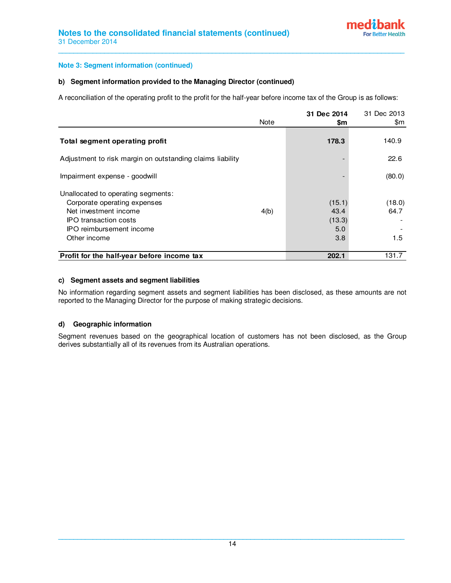# **Note 3: Segment information (continued)**

# **b) Segment information provided to the Managing Director (continued)**

A reconciliation of the operating profit to the profit for the half-year before income tax of the Group is as follows:

**\_\_\_\_\_\_\_\_\_\_\_\_\_\_\_\_\_\_\_\_\_\_\_\_\_\_\_\_\_\_\_\_\_\_\_\_\_\_\_\_\_\_\_\_\_\_\_\_\_\_\_\_\_\_\_\_\_\_\_\_\_\_\_\_\_\_\_\_\_\_\_\_\_\_\_\_\_\_\_\_\_\_\_\_\_\_\_\_\_\_** 

|                                                           |      | 31 Dec 2014 | 31 Dec 2013 |
|-----------------------------------------------------------|------|-------------|-------------|
|                                                           | Note | \$m         | \$m         |
|                                                           |      |             |             |
| Total segment operating profit                            |      | 178.3       | 140.9       |
| Adjustment to risk margin on outstanding claims liability |      |             | 22.6        |
| Impairment expense - goodwill                             |      |             | (80.0)      |
| Unallocated to operating segments:                        |      |             |             |
| Corporate operating expenses                              |      | (15.1)      | (18.0)      |
| Net investment income                                     | 4(b) | 43.4        | 64.7        |
| IPO transaction costs                                     |      | (13.3)      |             |
| <b>IPO</b> reimbursement income                           |      | 5.0         |             |
| Other income                                              |      | 3.8         | 1.5         |
| Profit for the half-year before income tax                |      | 202.1       | 131.7       |

# **c) Segment assets and segment liabilities**

No information regarding segment assets and segment liabilities has been disclosed, as these amounts are not reported to the Managing Director for the purpose of making strategic decisions.

# **d) Geographic information**

Segment revenues based on the geographical location of customers has not been disclosed, as the Group derives substantially all of its revenues from its Australian operations.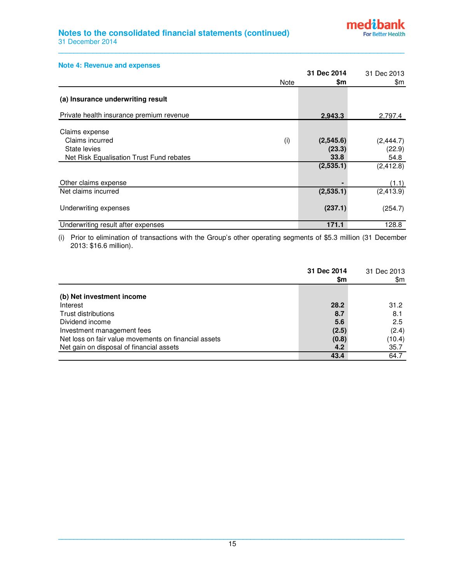# **Notes to the consolidated financial statements (continued)**  31 December 2014



# **Note 4: Revenue and expenses**

|                                          |      | 31 Dec 2014 | 31 Dec 2013 |
|------------------------------------------|------|-------------|-------------|
|                                          | Note | \$m         | \$m         |
| (a) Insurance underwriting result        |      |             |             |
| Private health insurance premium revenue |      | 2,943.3     | 2,797.4     |
| Claims expense                           |      |             |             |
| Claims incurred                          | (i)  | (2,545.6)   | (2, 444.7)  |
| State levies                             |      | (23.3)      | (22.9)      |
| Net Risk Equalisation Trust Fund rebates |      | 33.8        | 54.8        |
|                                          |      | (2,535.1)   | (2, 412.8)  |
| Other claims expense                     |      |             | (1.1)       |
| Net claims incurred                      |      | (2,535.1)   | (2, 413.9)  |
| Underwriting expenses                    |      | (237.1)     | (254.7)     |
| Underwriting result after expenses       |      | 171.1       | 128.8       |

**\_\_\_\_\_\_\_\_\_\_\_\_\_\_\_\_\_\_\_\_\_\_\_\_\_\_\_\_\_\_\_\_\_\_\_\_\_\_\_\_\_\_\_\_\_\_\_\_\_\_\_\_\_\_\_\_\_\_\_\_\_\_\_\_\_\_\_\_\_\_\_\_\_\_\_\_\_\_\_\_\_\_\_\_\_\_\_\_\_\_** 

(i) Prior to elimination of transactions with the Group's other operating segments of \$5.3 million (31 December 2013: \$16.6 million).

|                                                      | 31 Dec 2014 | 31 Dec 2013 |
|------------------------------------------------------|-------------|-------------|
|                                                      | \$m         | \$m         |
| (b) Net investment income                            |             |             |
| Interest                                             | 28.2        | 31.2        |
| Trust distributions                                  | 8.7         | 8.1         |
| Dividend income                                      | 5.6         | 2.5         |
| Investment management fees                           | (2.5)       | (2.4)       |
| Net loss on fair value movements on financial assets | (0.8)       | (10.4)      |
| Net gain on disposal of financial assets             | 4.2         | 35.7        |
|                                                      | 43.4        | 64.7        |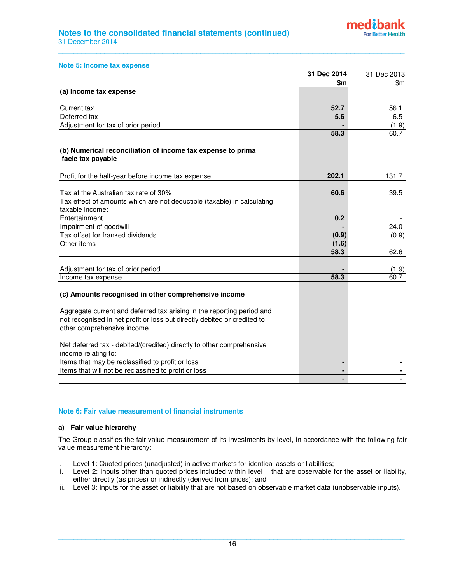

# **Note 5: Income tax expense**

|                                                                                                                                                                                  | 31 Dec 2014 | 31 Dec 2013   |
|----------------------------------------------------------------------------------------------------------------------------------------------------------------------------------|-------------|---------------|
|                                                                                                                                                                                  | \$m         | $\mathsf{Sm}$ |
| (a) Income tax expense                                                                                                                                                           |             |               |
| Current tax                                                                                                                                                                      | 52.7        | 56.1          |
| Deferred tax                                                                                                                                                                     | 5.6         | 6.5           |
| Adjustment for tax of prior period                                                                                                                                               |             | (1.9)         |
|                                                                                                                                                                                  | 58.3        | 60.7          |
| (b) Numerical reconciliation of income tax expense to prima<br>facie tax payable                                                                                                 |             |               |
| Profit for the half-year before income tax expense                                                                                                                               | 202.1       | 131.7         |
| Tax at the Australian tax rate of 30%<br>Tax effect of amounts which are not deductible (taxable) in calculating                                                                 | 60.6        | 39.5          |
| taxable income:<br>Entertainment                                                                                                                                                 | 0.2         |               |
| Impairment of goodwill                                                                                                                                                           |             | 24.0          |
| Tax offset for franked dividends                                                                                                                                                 | (0.9)       | (0.9)         |
| Other items                                                                                                                                                                      | (1.6)       |               |
|                                                                                                                                                                                  | 58.3        | 62.6          |
|                                                                                                                                                                                  |             |               |
| Adjustment for tax of prior period                                                                                                                                               | 58.3        | (1.9)<br>60.7 |
| Income tax expense                                                                                                                                                               |             |               |
| (c) Amounts recognised in other comprehensive income                                                                                                                             |             |               |
| Aggregate current and deferred tax arising in the reporting period and<br>not recognised in net profit or loss but directly debited or credited to<br>other comprehensive income |             |               |
| Net deferred tax - debited/(credited) directly to other comprehensive<br>income relating to:                                                                                     |             |               |
| Items that may be reclassified to profit or loss                                                                                                                                 |             |               |
| Items that will not be reclassified to profit or loss                                                                                                                            |             |               |
|                                                                                                                                                                                  |             |               |

**\_\_\_\_\_\_\_\_\_\_\_\_\_\_\_\_\_\_\_\_\_\_\_\_\_\_\_\_\_\_\_\_\_\_\_\_\_\_\_\_\_\_\_\_\_\_\_\_\_\_\_\_\_\_\_\_\_\_\_\_\_\_\_\_\_\_\_\_\_\_\_\_\_\_\_\_\_\_\_\_\_\_\_\_\_\_\_\_\_\_** 

# **Note 6: Fair value measurement of financial instruments**

# **a) Fair value hierarchy**

The Group classifies the fair value measurement of its investments by level, in accordance with the following fair value measurement hierarchy:

- i. Level 1: Quoted prices (unadjusted) in active markets for identical assets or liabilities;
- ii. Level 2: Inputs other than quoted prices included within level 1 that are observable for the asset or liability, either directly (as prices) or indirectly (derived from prices); and
- iii. Level 3: Inputs for the asset or liability that are not based on observable market data (unobservable inputs).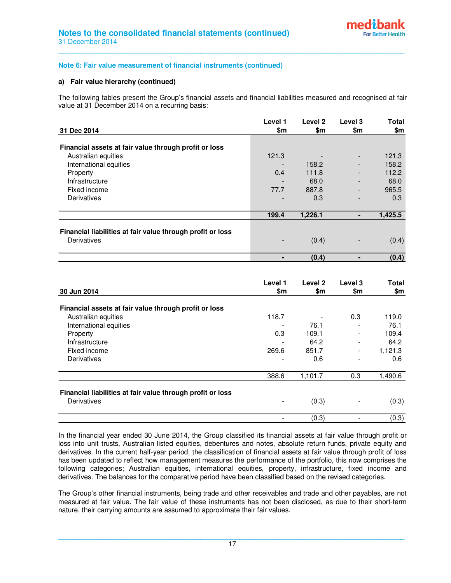# **Note 6: Fair value measurement of financial instruments (continued)**

# **a) Fair value hierarchy (continued)**

The following tables present the Group's financial assets and financial liabilities measured and recognised at fair value at 31 December 2014 on a recurring basis:

**\_\_\_\_\_\_\_\_\_\_\_\_\_\_\_\_\_\_\_\_\_\_\_\_\_\_\_\_\_\_\_\_\_\_\_\_\_\_\_\_\_\_\_\_\_\_\_\_\_\_\_\_\_\_\_\_\_\_\_\_\_\_\_\_\_\_\_\_\_\_\_\_\_\_\_\_\_\_\_\_\_\_\_\_\_\_\_\_\_\_** 

| 31 Dec 2014                                                | Level 1<br>\$m           | Level 2<br>\$m | Level 3<br>\$m               | <b>Total</b><br>\$m |
|------------------------------------------------------------|--------------------------|----------------|------------------------------|---------------------|
|                                                            |                          |                |                              |                     |
| Financial assets at fair value through profit or loss      |                          |                |                              |                     |
| Australian equities                                        | 121.3                    |                | $\overline{\phantom{a}}$     | 121.3               |
| International equities                                     | $\overline{\phantom{0}}$ | 158.2          | -                            | 158.2               |
| Property                                                   | 0.4                      | 111.8          | $\overline{\phantom{a}}$     | 112.2               |
| Infrastructure                                             |                          | 68.0           | $\overline{\phantom{0}}$     | 68.0                |
| Fixed income                                               | 77.7                     | 887.8          | $\qquad \qquad \blacksquare$ | 965.5               |
| <b>Derivatives</b>                                         |                          | 0.3            | $\overline{\phantom{0}}$     | 0.3                 |
|                                                            | 199.4                    | 1,226.1        | ٠                            | 1,425.5             |
| Financial liabilities at fair value through profit or loss |                          |                |                              |                     |
| Derivatives                                                |                          | (0.4)          |                              | (0.4)               |
|                                                            |                          | (0.4)          |                              | (0.4)               |

| 30 Jun 2014                                                | Level 1<br>\$m | Level 2<br>\$m | Level 3<br>\$m           | <b>Total</b><br>\$m |
|------------------------------------------------------------|----------------|----------------|--------------------------|---------------------|
| Financial assets at fair value through profit or loss      |                |                |                          |                     |
| Australian equities                                        | 118.7          |                | 0.3                      | 119.0               |
| International equities                                     |                | 76.1           | -                        | 76.1                |
| Property                                                   | 0.3            | 109.1          | $\overline{\phantom{a}}$ | 109.4               |
| Infrastructure                                             |                | 64.2           | $\overline{\phantom{a}}$ | 64.2                |
| Fixed income                                               | 269.6          | 851.7          | $\overline{\phantom{a}}$ | 1,121.3             |
| <b>Derivatives</b>                                         | -              | 0.6            | -                        | 0.6                 |
|                                                            | 388.6          | 1,101.7        | 0.3                      | 1,490.6             |
| Financial liabilities at fair value through profit or loss |                |                |                          |                     |
| <b>Derivatives</b>                                         |                | (0.3)          | $\overline{\phantom{a}}$ | (0.3)               |
|                                                            |                | (0.3)          |                          | (0.3)               |

In the financial year ended 30 June 2014, the Group classified its financial assets at fair value through profit or loss into unit trusts, Australian listed equities, debentures and notes, absolute return funds, private equity and derivatives. In the current half-year period, the classification of financial assets at fair value through profit of loss has been updated to reflect how management measures the performance of the portfolio, this now comprises the following categories; Australian equities, international equities, property, infrastructure, fixed income and derivatives. The balances for the comparative period have been classified based on the revised categories.

The Group's other financial instruments, being trade and other receivables and trade and other payables, are not measured at fair value. The fair value of these instruments has not been disclosed, as due to their short-term nature, their carrying amounts are assumed to approximate their fair values.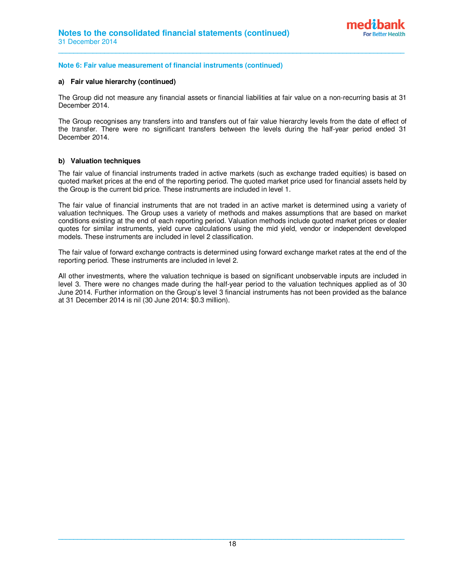

# **Note 6: Fair value measurement of financial instruments (continued)**

#### **a) Fair value hierarchy (continued)**

The Group did not measure any financial assets or financial liabilities at fair value on a non-recurring basis at 31 December 2014.

**\_\_\_\_\_\_\_\_\_\_\_\_\_\_\_\_\_\_\_\_\_\_\_\_\_\_\_\_\_\_\_\_\_\_\_\_\_\_\_\_\_\_\_\_\_\_\_\_\_\_\_\_\_\_\_\_\_\_\_\_\_\_\_\_\_\_\_\_\_\_\_\_\_\_\_\_\_\_\_\_\_\_\_\_\_\_\_\_\_\_** 

The Group recognises any transfers into and transfers out of fair value hierarchy levels from the date of effect of the transfer. There were no significant transfers between the levels during the half-year period ended 31 December 2014.

# **b) Valuation techniques**

The fair value of financial instruments traded in active markets (such as exchange traded equities) is based on quoted market prices at the end of the reporting period. The quoted market price used for financial assets held by the Group is the current bid price. These instruments are included in level 1.

The fair value of financial instruments that are not traded in an active market is determined using a variety of valuation techniques. The Group uses a variety of methods and makes assumptions that are based on market conditions existing at the end of each reporting period. Valuation methods include quoted market prices or dealer quotes for similar instruments, yield curve calculations using the mid yield, vendor or independent developed models. These instruments are included in level 2 classification.

The fair value of forward exchange contracts is determined using forward exchange market rates at the end of the reporting period. These instruments are included in level 2.

All other investments, where the valuation technique is based on significant unobservable inputs are included in level 3. There were no changes made during the half-year period to the valuation techniques applied as of 30 June 2014. Further information on the Group's level 3 financial instruments has not been provided as the balance at 31 December 2014 is nil (30 June 2014: \$0.3 million).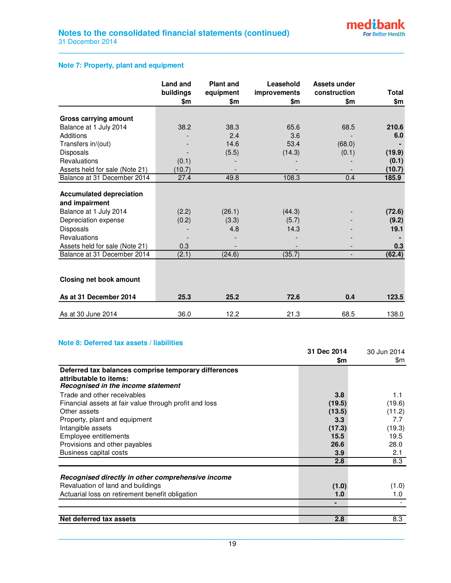# **Note 7: Property, plant and equipment**

|                                 | <b>Land and</b><br>buildings | <b>Plant and</b><br>equipment | Leasehold<br><b>improvements</b> | <b>Assets under</b><br>construction | <b>Total</b>   |
|---------------------------------|------------------------------|-------------------------------|----------------------------------|-------------------------------------|----------------|
|                                 | \$m                          | \$m                           | \$m                              | \$m                                 | \$m            |
|                                 |                              |                               |                                  |                                     |                |
| <b>Gross carrying amount</b>    |                              |                               |                                  |                                     |                |
| Balance at 1 July 2014          | 38.2                         | 38.3                          | 65.6                             | 68.5                                | 210.6          |
| Additions                       |                              | 2.4                           | 3.6                              |                                     | 6.0            |
| Transfers in/(out)              |                              | 14.6                          | 53.4                             | (68.0)                              | $\blacksquare$ |
| Disposals                       |                              | (5.5)                         | (14.3)                           | (0.1)                               | (19.9)         |
| Revaluations                    | (0.1)                        |                               |                                  |                                     | (0.1)          |
| Assets held for sale (Note 21)  | (10.7)                       |                               |                                  |                                     | (10.7)         |
| Balance at 31 December 2014     | 27.4                         | 49.8                          | 108.3                            | 0.4                                 | 185.9          |
|                                 |                              |                               |                                  |                                     |                |
| <b>Accumulated depreciation</b> |                              |                               |                                  |                                     |                |
| and impairment                  |                              |                               |                                  |                                     |                |
| Balance at 1 July 2014          | (2.2)                        | (26.1)                        | (44.3)                           |                                     | (72.6)         |
| Depreciation expense            | (0.2)                        | (3.3)                         | (5.7)                            |                                     | (9.2)          |
| Disposals                       |                              | 4.8                           | 14.3                             |                                     | 19.1           |
| Revaluations                    |                              |                               |                                  |                                     |                |
| Assets held for sale (Note 21)  | 0.3                          |                               |                                  |                                     | 0.3            |
| Balance at 31 December 2014     | (2.1)                        | (24.6)                        | (35.7)                           |                                     | (62.4)         |
|                                 |                              |                               |                                  |                                     |                |
|                                 |                              |                               |                                  |                                     |                |
| <b>Closing net book amount</b>  |                              |                               |                                  |                                     |                |
| As at 31 December 2014          | 25.3                         | 25.2                          | 72.6                             | 0.4                                 | 123.5          |
| As at 30 June 2014              | 36.0                         | 12.2                          | 21.3                             | 68.5                                | 138.0          |

**\_\_\_\_\_\_\_\_\_\_\_\_\_\_\_\_\_\_\_\_\_\_\_\_\_\_\_\_\_\_\_\_\_\_\_\_\_\_\_\_\_\_\_\_\_\_\_\_\_\_\_\_\_\_\_\_\_\_\_\_\_\_\_\_\_\_\_\_\_\_\_\_\_\_\_\_\_\_\_\_\_\_\_\_\_\_\_\_\_\_** 

# **Note 8: Deferred tax assets / liabilities**

| ייטוט ט. געווועט וואז מטטכוט וואסווווועט               |             |             |
|--------------------------------------------------------|-------------|-------------|
|                                                        | 31 Dec 2014 | 30 Jun 2014 |
|                                                        | \$m         | \$m         |
| Deferred tax balances comprise temporary differences   |             |             |
| attributable to items:                                 |             |             |
| Recognised in the income statement                     |             |             |
| Trade and other receivables                            | 3.8         | 1.1         |
| Financial assets at fair value through profit and loss | (19.5)      | (19.6)      |
| Other assets                                           | (13.5)      | (11.2)      |
| Property, plant and equipment                          | 3.3         | 7.7         |
| Intangible assets                                      | (17.3)      | (19.3)      |
| Employee entitlements                                  | 15.5        | 19.5        |
| Provisions and other payables                          | 26.6        | 28.0        |
| Business capital costs                                 | 3.9         | 2.1         |
|                                                        | 2.8         | 8.3         |
|                                                        |             |             |
| Recognised directly in other comprehensive income      |             |             |
| Revaluation of land and buildings                      | (1.0)       | (1.0)       |
| Actuarial loss on retirement benefit obligation        | 1.0         | 1.0         |
|                                                        | ۰           |             |
| Net deferred tax assets                                | 2.8         | 8.3         |
|                                                        |             |             |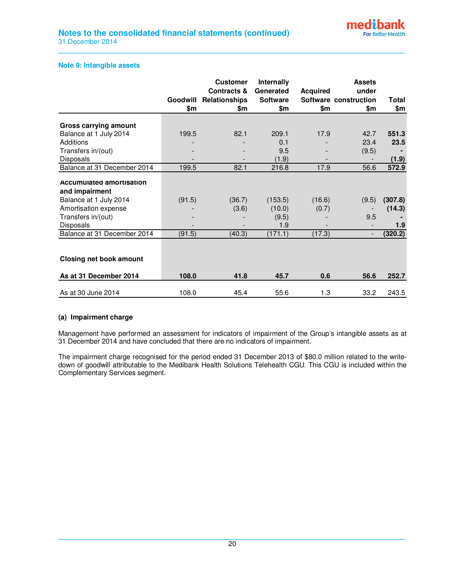# **Note 9: Intangible assets**

|                                 |          | <b>Customer</b> | <b>Internally</b> |                 | <b>Assets</b>         |              |
|---------------------------------|----------|-----------------|-------------------|-----------------|-----------------------|--------------|
|                                 |          | Contracts &     | Generated         | <b>Acquired</b> | under                 |              |
|                                 | Goodwill | Relationships   | <b>Software</b>   |                 | Software construction | <b>Total</b> |
|                                 | \$m      | \$m             | \$m               | \$m             | \$m                   | \$m          |
|                                 |          |                 |                   |                 |                       |              |
| <b>Gross carrying amount</b>    |          |                 |                   |                 |                       |              |
| Balance at 1 July 2014          | 199.5    | 82.1            | 209.1             | 17.9            | 42.7                  | 551.3        |
| Additions                       |          |                 | 0.1               |                 | 23.4                  | 23.5         |
| Transfers in/(out)              |          |                 | 9.5               |                 | (9.5)                 |              |
| Disposals                       |          |                 | (1.9)             |                 |                       | (1.9)        |
| Balance at 31 December 2014     | 199.5    | 82.1            | 216.8             | 17.9            | 56.6                  | 572.9        |
|                                 |          |                 |                   |                 |                       |              |
| <b>Accumulated amortisation</b> |          |                 |                   |                 |                       |              |
| and impairment                  |          |                 |                   |                 |                       |              |
| Balance at 1 July 2014          | (91.5)   | (36.7)          | (153.5)           | (16.6)          | (9.5)                 | (307.8)      |
| Amortisation expense            |          | (3.6)           | (10.0)            | (0.7)           |                       | (14.3)       |
| Transfers in/(out)              |          |                 | (9.5)             |                 | 9.5                   |              |
| Disposals                       |          |                 | 1.9               |                 |                       | 1.9          |
| Balance at 31 December 2014     | (91.5)   | (40.3)          | (171.1)           | (17.3)          |                       | (320.2)      |
|                                 |          |                 |                   |                 |                       |              |
|                                 |          |                 |                   |                 |                       |              |
| <b>Closing net book amount</b>  |          |                 |                   |                 |                       |              |
| As at 31 December 2014          | 108.0    | 41.8            | 45.7              | 0.6             | 56.6                  | 252.7        |
|                                 |          |                 |                   |                 |                       |              |
| As at 30 June 2014              | 108.0    | 45.4            | 55.6              | 1.3             | 33.2                  | 243.5        |

**\_\_\_\_\_\_\_\_\_\_\_\_\_\_\_\_\_\_\_\_\_\_\_\_\_\_\_\_\_\_\_\_\_\_\_\_\_\_\_\_\_\_\_\_\_\_\_\_\_\_\_\_\_\_\_\_\_\_\_\_\_\_\_\_\_\_\_\_\_\_\_\_\_\_\_\_\_\_\_\_\_\_\_\_\_\_\_\_\_\_** 

# **(a) Impairment charge**

Management have performed an assessment for indicators of impairment of the Group's intangible assets as at 31 December 2014 and have concluded that there are no indicators of impairment.

The impairment charge recognised for the period ended 31 December 2013 of \$80.0 million related to the writedown of goodwill attributable to the Medibank Health Solutions Telehealth CGU. This CGU is included within the Complementary Services segment.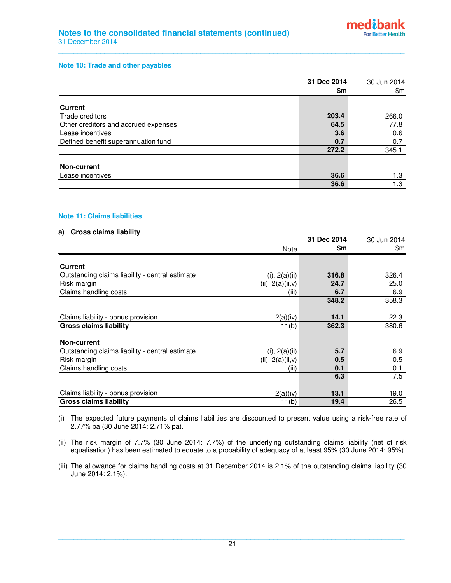# **Note 10: Trade and other payables**

|                                      | 31 Dec 2014 | 30 Jun 2014 |
|--------------------------------------|-------------|-------------|
|                                      | \$m         | \$m         |
|                                      |             |             |
| <b>Current</b>                       |             |             |
| Trade creditors                      | 203.4       | 266.0       |
| Other creditors and accrued expenses | 64.5        | 77.8        |
| Lease incentives                     | 3.6         | 0.6         |
| Defined benefit superannuation fund  | 0.7         | 0.7         |
|                                      | 272.2       | 345.1       |
|                                      |             |             |
| Non-current                          |             |             |
| Lease incentives                     | 36.6        | 1.3         |
|                                      | 36.6        | 1.3         |

**\_\_\_\_\_\_\_\_\_\_\_\_\_\_\_\_\_\_\_\_\_\_\_\_\_\_\_\_\_\_\_\_\_\_\_\_\_\_\_\_\_\_\_\_\_\_\_\_\_\_\_\_\_\_\_\_\_\_\_\_\_\_\_\_\_\_\_\_\_\_\_\_\_\_\_\_\_\_\_\_\_\_\_\_\_\_\_\_\_\_** 

# **Note 11: Claims liabilities**

# **a) Gross claims liability**

|                                                 |                  | 31 Dec 2014 | 30 Jun 2014 |
|-------------------------------------------------|------------------|-------------|-------------|
|                                                 | <b>Note</b>      | \$m         | \$m         |
| Current                                         |                  |             |             |
| Outstanding claims liability - central estimate | (i), 2(a)(ii)    | 316.8       | 326.4       |
|                                                 |                  | 24.7        | 25.0        |
| Risk margin                                     | (ii), 2(a)(ii,v) |             |             |
| Claims handling costs                           | (iii)            | 6.7         | 6.9         |
|                                                 |                  | 348.2       | 358.3       |
| Claims liability - bonus provision              | 2(a)(iv)         | 14.1        | 22.3        |
| <b>Gross claims liability</b>                   | 11(b)            | 362.3       | 380.6       |
| Non-current                                     |                  |             |             |
| Outstanding claims liability - central estimate | (i), 2(a)(ii)    | 5.7         | 6.9         |
| Risk margin                                     | (ii), 2(a)(ii,v) | 0.5         | 0.5         |
| Claims handling costs                           | (iii)            | 0.1         | 0.1         |
|                                                 |                  | 6.3         | 7.5         |
|                                                 |                  |             |             |
| Claims liability - bonus provision              | 2(a)(iv)         | 13.1        | 19.0        |
| <b>Gross claims liability</b>                   | 11(b)            | 19.4        | 26.5        |

(i) The expected future payments of claims liabilities are discounted to present value using a risk-free rate of 2.77% pa (30 June 2014: 2.71% pa).

(ii) The risk margin of 7.7% (30 June 2014: 7.7%) of the underlying outstanding claims liability (net of risk equalisation) has been estimated to equate to a probability of adequacy of at least 95% (30 June 2014: 95%).

(iii) The allowance for claims handling costs at 31 December 2014 is 2.1% of the outstanding claims liability (30 June 2014: 2.1%).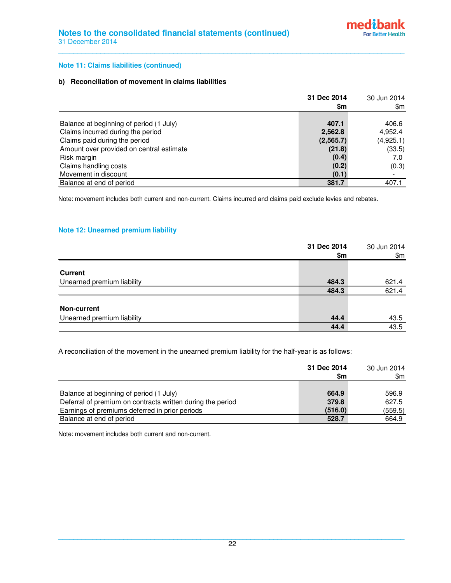# **Note 11: Claims liabilities (continued)**

# **b) Reconciliation of movement in claims liabilities**

|                                          | 31 Dec 2014 | 30 Jun 2014 |
|------------------------------------------|-------------|-------------|
|                                          | \$m         | \$m         |
|                                          |             |             |
| Balance at beginning of period (1 July)  | 407.1       | 406.6       |
| Claims incurred during the period        | 2,562.8     | 4,952.4     |
| Claims paid during the period            | (2,565.7)   | (4,925.1)   |
| Amount over provided on central estimate | (21.8)      | (33.5)      |
| Risk margin                              | (0.4)       | 7.0         |
| Claims handling costs                    | (0.2)       | (0.3)       |
| Movement in discount                     | (0.1)       |             |
| Balance at end of period                 | 381.7       | 407.1       |

**\_\_\_\_\_\_\_\_\_\_\_\_\_\_\_\_\_\_\_\_\_\_\_\_\_\_\_\_\_\_\_\_\_\_\_\_\_\_\_\_\_\_\_\_\_\_\_\_\_\_\_\_\_\_\_\_\_\_\_\_\_\_\_\_\_\_\_\_\_\_\_\_\_\_\_\_\_\_\_\_\_\_\_\_\_\_\_\_\_\_** 

Note: movement includes both current and non-current. Claims incurred and claims paid exclude levies and rebates.

# **Note 12: Unearned premium liability**

|                            | 31 Dec 2014 | 30 Jun 2014 |
|----------------------------|-------------|-------------|
|                            | \$m         | \$m         |
|                            |             |             |
| <b>Current</b>             |             |             |
| Unearned premium liability | 484.3       | 621.4       |
|                            | 484.3       | 621.4       |
|                            |             |             |
| <b>Non-current</b>         |             |             |
| Unearned premium liability | 44.4        | 43.5        |
|                            | 44.4        | 43.5        |

A reconciliation of the movement in the unearned premium liability for the half-year is as follows:

|                                                            | 31 Dec 2014<br>\$m | 30 Jun 2014<br>\$m |
|------------------------------------------------------------|--------------------|--------------------|
|                                                            |                    |                    |
| Balance at beginning of period (1 July)                    | 664.9              | 596.9              |
| Deferral of premium on contracts written during the period | 379.8              | 627.5              |
| Earnings of premiums deferred in prior periods             | (516.0)            | (559.5)            |
| Balance at end of period                                   | 528.7              | 664.9              |

Note: movement includes both current and non-current.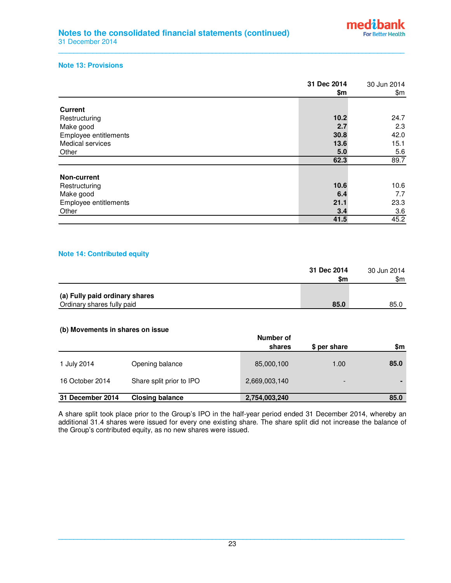# **Note 13: Provisions**

|                       | 31 Dec 2014 | 30 Jun 2014 |
|-----------------------|-------------|-------------|
|                       | \$m         | \$m         |
| <b>Current</b>        |             |             |
| Restructuring         | 10.2        | 24.7        |
| Make good             | 2.7         | 2.3         |
| Employee entitlements | 30.8        | 42.0        |
| Medical services      | 13.6        | 15.1        |
| Other                 | 5.0         | 5.6         |
|                       | 62.3        | 89.7        |
|                       |             |             |
| <b>Non-current</b>    |             |             |
| Restructuring         | 10.6        | 10.6        |
| Make good             | 6.4         | 7.7         |
| Employee entitlements | 21.1        | 23.3        |
| Other                 | 3.4         | 3.6         |
|                       | 41.5        | 45.2        |

**\_\_\_\_\_\_\_\_\_\_\_\_\_\_\_\_\_\_\_\_\_\_\_\_\_\_\_\_\_\_\_\_\_\_\_\_\_\_\_\_\_\_\_\_\_\_\_\_\_\_\_\_\_\_\_\_\_\_\_\_\_\_\_\_\_\_\_\_\_\_\_\_\_\_\_\_\_\_\_\_\_\_\_\_\_\_\_\_\_\_** 

# **Note 14: Contributed equity**

|                                | 31 Dec 2014 | 30 Jun 2014 |
|--------------------------------|-------------|-------------|
|                                | \$m         | \$m         |
|                                |             |             |
| (a) Fully paid ordinary shares |             |             |
| Ordinary shares fully paid     | 85.0        | 85.0        |

# **(b) Movements in shares on issue**

|                  |                          | Number of<br>shares | \$ per share | \$m  |
|------------------|--------------------------|---------------------|--------------|------|
| 1 July 2014      | Opening balance          | 85,000,100          | 1.00         | 85.0 |
| 16 October 2014  | Share split prior to IPO | 2,669,003,140       |              |      |
| 31 December 2014 | <b>Closing balance</b>   | 2,754,003,240       |              | 85.0 |

A share split took place prior to the Group's IPO in the half-year period ended 31 December 2014, whereby an additional 31.4 shares were issued for every one existing share. The share split did not increase the balance of the Group's contributed equity, as no new shares were issued.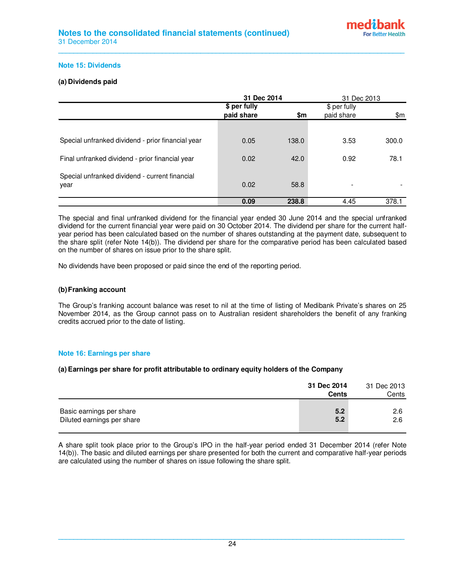# **Note 15: Dividends**

# **(a) Dividends paid**

|                                                                                                   | 31 Dec 2014                 |       | 31 Dec 2013                |       |
|---------------------------------------------------------------------------------------------------|-----------------------------|-------|----------------------------|-------|
|                                                                                                   | $$$ per fully<br>paid share | \$m   | \$ per fully<br>paid share | \$m   |
|                                                                                                   | 0.05                        | 138.0 | 3.53                       | 300.0 |
| Special unfranked dividend - prior financial year                                                 |                             |       |                            |       |
| Final unfranked dividend - prior financial year<br>Special unfranked dividend - current financial | 0.02                        | 42.0  | 0.92                       | 78.1  |
| year                                                                                              | 0.02                        | 58.8  |                            |       |
|                                                                                                   | 0.09                        | 238.8 | 4.45                       | 378.1 |

**\_\_\_\_\_\_\_\_\_\_\_\_\_\_\_\_\_\_\_\_\_\_\_\_\_\_\_\_\_\_\_\_\_\_\_\_\_\_\_\_\_\_\_\_\_\_\_\_\_\_\_\_\_\_\_\_\_\_\_\_\_\_\_\_\_\_\_\_\_\_\_\_\_\_\_\_\_\_\_\_\_\_\_\_\_\_\_\_\_\_** 

The special and final unfranked dividend for the financial year ended 30 June 2014 and the special unfranked dividend for the current financial year were paid on 30 October 2014. The dividend per share for the current halfyear period has been calculated based on the number of shares outstanding at the payment date, subsequent to the share split (refer Note 14(b)). The dividend per share for the comparative period has been calculated based on the number of shares on issue prior to the share split.

No dividends have been proposed or paid since the end of the reporting period.

# **(b) Franking account**

The Group's franking account balance was reset to nil at the time of listing of Medibank Private's shares on 25 November 2014, as the Group cannot pass on to Australian resident shareholders the benefit of any franking credits accrued prior to the date of listing.

# **Note 16: Earnings per share**

# **(a) Earnings per share for profit attributable to ordinary equity holders of the Company**

|                            | 31 Dec 2014<br><b>Cents</b> | 31 Dec 2013<br>Cents |
|----------------------------|-----------------------------|----------------------|
| Basic earnings per share   | 5.2                         | 2.6                  |
| Diluted earnings per share | 5.2                         | 2.6                  |

A share split took place prior to the Group's IPO in the half-year period ended 31 December 2014 (refer Note 14(b)). The basic and diluted earnings per share presented for both the current and comparative half-year periods are calculated using the number of shares on issue following the share split.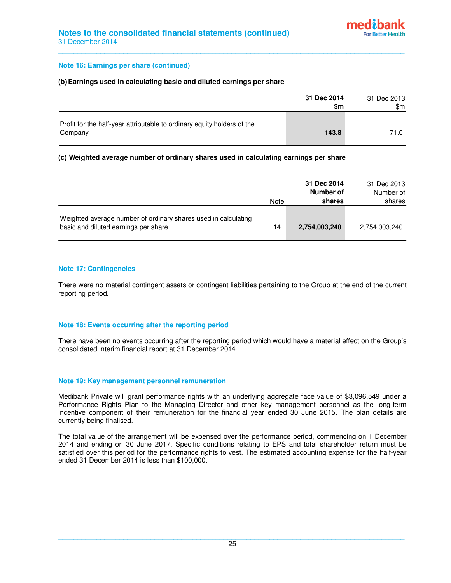# **Note 16: Earnings per share (continued)**

# **(b) Earnings used in calculating basic and diluted earnings per share**

|                                                                                    | 31 Dec 2014<br>\$m | 31 Dec 2013<br>\$m |
|------------------------------------------------------------------------------------|--------------------|--------------------|
| Profit for the half-year attributable to ordinary equity holders of the<br>Company | 143.8              | 71.0               |

**\_\_\_\_\_\_\_\_\_\_\_\_\_\_\_\_\_\_\_\_\_\_\_\_\_\_\_\_\_\_\_\_\_\_\_\_\_\_\_\_\_\_\_\_\_\_\_\_\_\_\_\_\_\_\_\_\_\_\_\_\_\_\_\_\_\_\_\_\_\_\_\_\_\_\_\_\_\_\_\_\_\_\_\_\_\_\_\_\_\_** 

# **(c) Weighted average number of ordinary shares used in calculating earnings per share**

|                                                                                                        | Note | 31 Dec 2014<br>Number of<br>shares | 31 Dec 2013<br>Number of<br>shares |
|--------------------------------------------------------------------------------------------------------|------|------------------------------------|------------------------------------|
| Weighted average number of ordinary shares used in calculating<br>basic and diluted earnings per share | 14   | 2,754,003,240                      | 2,754,003,240                      |

# **Note 17: Contingencies**

There were no material contingent assets or contingent liabilities pertaining to the Group at the end of the current reporting period.

# **Note 18: Events occurring after the reporting period**

There have been no events occurring after the reporting period which would have a material effect on the Group's consolidated interim financial report at 31 December 2014.

# **Note 19: Key management personnel remuneration**

Medibank Private will grant performance rights with an underlying aggregate face value of \$3,096,549 under a Performance Rights Plan to the Managing Director and other key management personnel as the long-term incentive component of their remuneration for the financial year ended 30 June 2015. The plan details are currently being finalised.

The total value of the arrangement will be expensed over the performance period, commencing on 1 December 2014 and ending on 30 June 2017. Specific conditions relating to EPS and total shareholder return must be satisfied over this period for the performance rights to vest. The estimated accounting expense for the half-year ended 31 December 2014 is less than \$100,000.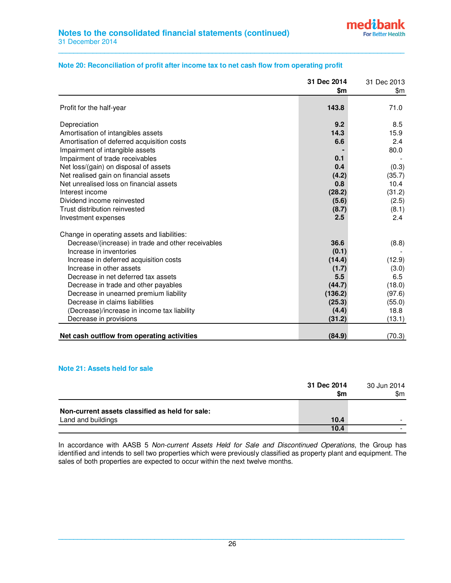|                                                    | 31 Dec 2014<br>\$m | 31 Dec 2013<br>\$m |
|----------------------------------------------------|--------------------|--------------------|
| Profit for the half-year                           | 143.8              | 71.0               |
| Depreciation                                       | 9.2                | 8.5                |
| Amortisation of intangibles assets                 | 14.3               | 15.9               |
| Amortisation of deferred acquisition costs         | 6.6                | 2.4                |
| Impairment of intangible assets                    |                    | 80.0               |
| Impairment of trade receivables                    | 0.1                |                    |
| Net loss/(gain) on disposal of assets              | 0.4                | (0.3)              |
| Net realised gain on financial assets              | (4.2)              | (35.7)             |
| Net unrealised loss on financial assets            | 0.8                | 10.4               |
| Interest income                                    | (28.2)             | (31.2)             |
| Dividend income reinvested                         | (5.6)              | (2.5)              |
| Trust distribution reinvested                      | (8.7)              | (8.1)              |
| Investment expenses                                | 2.5                | 2.4                |
| Change in operating assets and liabilities:        |                    |                    |
| Decrease/(increase) in trade and other receivables | 36.6               | (8.8)              |
| Increase in inventories                            | (0.1)              |                    |
| Increase in deferred acquisition costs             | (14.4)             | (12.9)             |
| Increase in other assets                           | (1.7)              | (3.0)              |
| Decrease in net deferred tax assets                | 5.5                | 6.5                |
| Decrease in trade and other payables               | (44.7)             | (18.0)             |
| Decrease in unearned premium liability             | (136.2)            | (97.6)             |
| Decrease in claims liabilities                     | (25.3)             | (55.0)             |
| (Decrease)/increase in income tax liability        | (4.4)              | 18.8               |
| Decrease in provisions                             | (31.2)             | (13.1)             |
| Net cash outflow from operating activities         | (84.9)             | (70.3)             |

**\_\_\_\_\_\_\_\_\_\_\_\_\_\_\_\_\_\_\_\_\_\_\_\_\_\_\_\_\_\_\_\_\_\_\_\_\_\_\_\_\_\_\_\_\_\_\_\_\_\_\_\_\_\_\_\_\_\_\_\_\_\_\_\_\_\_\_\_\_\_\_\_\_\_\_\_\_\_\_\_\_\_\_\_\_\_\_\_\_\_** 

# **Note 20: Reconciliation of profit after income tax to net cash flow from operating profit**

# **Note 21: Assets held for sale**

|                                                                       | 31 Dec 2014<br>\$m | 30 Jun 2014<br>\$m |
|-----------------------------------------------------------------------|--------------------|--------------------|
| Non-current assets classified as held for sale:<br>Land and buildings | 10.4               | -                  |
|                                                                       | 10.4               |                    |

In accordance with AASB 5 Non-current Assets Held for Sale and Discontinued Operations, the Group has identified and intends to sell two properties which were previously classified as property plant and equipment. The sales of both properties are expected to occur within the next twelve months.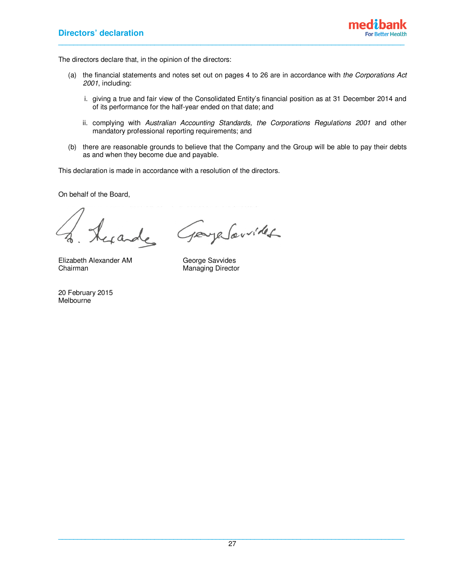

The directors declare that, in the opinion of the directors:

- (a) the financial statements and notes set out on pages 4 to 26 are in accordance with the Corporations Act 2001, including:
	- i. giving a true and fair view of the Consolidated Entity's financial position as at 31 December 2014 and of its performance for the half-year ended on that date; and
	- ii. complying with Australian Accounting Standards, the Corporations Regulations 2001 and other mandatory professional reporting requirements; and
- (b) there are reasonable grounds to believe that the Company and the Group will be able to pay their debts as and when they become due and payable.

This declaration is made in accordance with a resolution of the directors.

On behalf of the Board,

exande

George Savvidet

Elizabeth Alexander AM George Savvides Chairman Managing Director

20 February 2015 Melbourne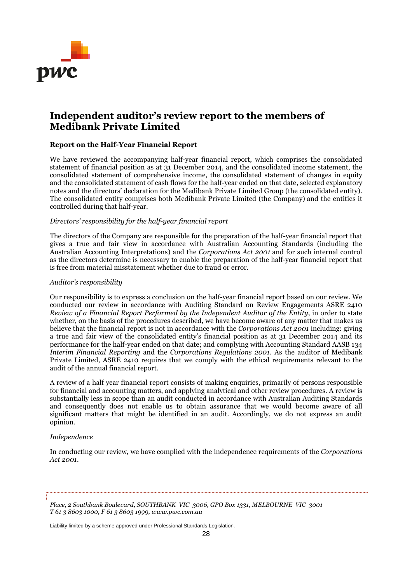

# **Independent auditor's review report to the members of Medibank Private Limited**

# **Report on the Half-Year Financial Report**

We have reviewed the accompanying half-year financial report, which comprises the consolidated statement of financial position as at 31 December 2014, and the consolidated income statement, the consolidated statement of comprehensive income, the consolidated statement of changes in equity and the consolidated statement of cash flows for the half-year ended on that date, selected explanatory notes and the directors' declaration for the Medibank Private Limited Group (the consolidated entity). The consolidated entity comprises both Medibank Private Limited (the Company) and the entities it controlled during that half-year.

# *Directors' responsibility for the half-year financial report*

The directors of the Company are responsible for the preparation of the half-year financial report that gives a true and fair view in accordance with Australian Accounting Standards (including the Australian Accounting Interpretations) and the *Corporations Act 2001* and for such internal control as the directors determine is necessary to enable the preparation of the half-year financial report that is free from material misstatement whether due to fraud or error.

# *Auditor's responsibility*

Our responsibility is to express a conclusion on the half-year financial report based on our review. We conducted our review in accordance with Auditing Standard on Review Engagements ASRE 2410 *Review of a Financial Report Performed by the Independent Auditor of the Entity*, in order to state whether, on the basis of the procedures described, we have become aware of any matter that makes us believe that the financial report is not in accordance with the *Corporations Act 2001* including: giving a true and fair view of the consolidated entity's financial position as at 31 December 2014 and its performance for the half-year ended on that date; and complying with Accounting Standard AASB 134 *Interim Financial Reporting* and the *Corporations Regulations 2001*. As the auditor of Medibank Private Limited, ASRE 2410 requires that we comply with the ethical requirements relevant to the audit of the annual financial report.

A review of a half year financial report consists of making enquiries, primarily of persons responsible for financial and accounting matters, and applying analytical and other review procedures. A review is substantially less in scope than an audit conducted in accordance with Australian Auditing Standards and consequently does not enable us to obtain assurance that we would become aware of all significant matters that might be identified in an audit. Accordingly, we do not express an audit opinion.

# *Independence*

In conducting our review, we have complied with the independence requirements of the *Corporations Act 2001.*

*Place, 2 Southbank Boulevard, SOUTHBANK VIC 3006, GPO Box 1331, MELBOURNE VIC 3001 T 61 3 8603 1000, F 61 3 8603 1999, www.pwc.com.au*

Liability limited by a scheme approved under Professional Standards Legislation.